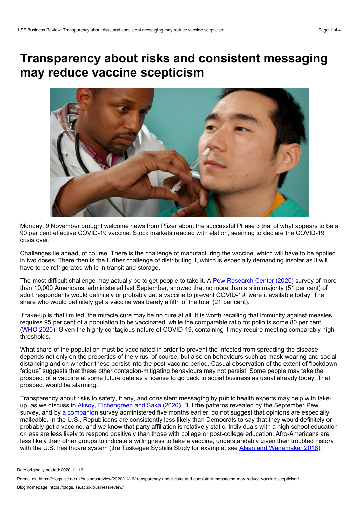## **Transparency about risks and consistent messaging may reduce vaccine scepticism**



Monday, 9 November brought welcome news from Pfizer about the successful Phase 3 trial of what appears to be a 90 per cent effective COVID-19 vaccine. Stock markets reacted with elation, seeming to declare the COVID-19 crisis over.

Challenges lie ahead, of course. There is the challenge of manufacturing the vaccine, which will have to be applied in two doses. There then is the further challenge of distributing it, which is especially demanding insofar as it will have to be refrigerated while in transit and storage.

The most difficult challenge may actually be to get people to take it. A Pew [Research](https://www.pewresearch.org/science/2020/09/17/u-s-public-now-divided-over-whether-to-get-covid-19-vaccine/) Center (2020) survey of more than 10,000 Americans, administered last September, showed that no more than a slim majority (51 per cent) of adult respondents would definitely or probably get a vaccine to prevent COVID-19, were it available today. The share who would definitely get a vaccine was barely a fifth of the total (21 per cent).

If take-up is that limited, the miracle cure may be no cure at all. It is worth recalling that immunity against measles requires 95 per cent of a population to be vaccinated, while the comparable ratio for polio is some 80 per cent ([WHO](https://www.who.int/news-room/q-a-detail/herd-immunity-lockdowns-and-covid-19) 2020). Given the highly contagious nature of COVID-19, containing it may require meeting comparably high thresholds.

What share of the population must be vaccinated in order to prevent the infected from spreading the disease depends not only on the properties of the virus, of course, but also on behaviours such as mask wearing and social distancing and on whether these persist into the post-vaccine period. Casual observation of the extent of "lockdown fatigue" suggests that these other contagion-mitigating behaviours may not persist. Some people may take the prospect of a vaccine at some future date as a license to go back to social business as usual already today. That prospect would be alarming.

Transparency about risks to safety, if any, and consistent messaging by public health experts may help with take up, as we discuss in Aksoy, [Eichengreen](https://www.nber.org/papers/w27401) and Saka (2020). But the patterns revealed by the September Pew survey, and by a [companion](https://www.pewresearch.org/fact-tank/2020/05/21/most-americans-expect-a-covid-19-vaccine-within-a-year-72-say-they-would-get-vaccinated/) survey administered five months earlier, do not suggest that opinions are especially malleable. In the U.S., Republicans are consistently less likely than Democrats to say that they would definitely or probably get a vaccine, and we know that party affiliation is relatively static. Individuals with a high school education or less are less likely to respond positively than those with college or post-college education. Afro-Americans are less likely than other groups to indicate a willingness to take a vaccine, understandably given their troubled history with the U.S. healthcare system (the Tuskegee Syphilis Study for example; see Alsan and [Wanamaker](https://www.nber.org/system/files/working_papers/w22323/w22323.pdf) 2016).

Date originally posted: 2020-11-16

Permalink: https://blogs.lse.ac.uk/businessreview/2020/11/16/transparency-about-risks-and-consistent-messaging-may-reduce-vaccine-scepticism/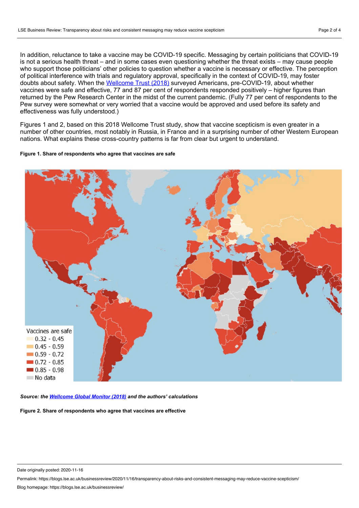In addition, reluctance to take a vaccine may be COVID-19 specific. Messaging by certain politicians that COVID-19 is not a serious health threat – and in some cases even questioning whether the threat exists – may cause people who support those politicians' other policies to question whether a vaccine is necessary or effective. The perception of political interference with trials and regulatory approval, specifically in the context of COVID-19, may foster doubts about safety. When the [Wellcome](https://wellcome.org/reports/wellcome-global-monitor/2018) Trust (2018) surveyed Americans, pre-COVID-19, about whether vaccines were safe and effective, 77 and 87 per cent of respondents responded positively – higher figures than returned by the Pew Research Center in the midst of the current pandemic. (Fully 77 per cent of respondents to the Pew survey were somewhat or very worried that a vaccine would be approved and used before its safety and effectiveness was fully understood.)

Figures 1 and 2, based on this 2018 Wellcome Trust study, show that vaccine scepticism is even greater in a number of other countries, most notably in Russia, in France and in a surprising number of other Western European nations. What explains these cross-country patterns is far from clear but urgent to understand.

## **Figure 1. Share of respondents who agree that vaccines are safe**



*Source: the [Wellcome](https://wellcome.org/reports/wellcome-global-monitor/2018) Global Monitor (2018) and the authors' calculations*

**Figure 2. Share of respondents who agree that vaccines are effective**

Permalink: https://blogs.lse.ac.uk/businessreview/2020/11/16/transparency-about-risks-and-consistent-messaging-may-reduce-vaccine-scepticism/

Date originally posted: 2020-11-16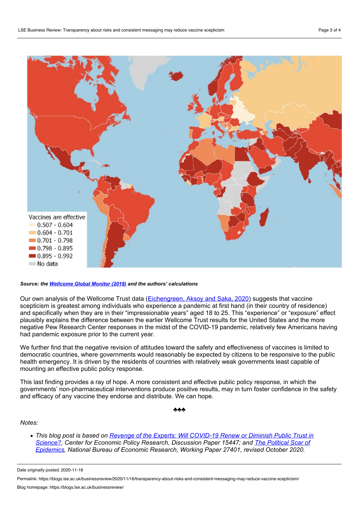

## *Source: the [Wellcome](https://wellcome.org/reports/wellcome-global-monitor/2018) Global Monitor (2018) and the authors' calculations*

Our own analysis of the Wellcome Trust data ([Eichengreen,](https://voxeu.org/article/will-covid-19-renew-or-diminish-trust-science) Aksoy and Saka, 2020) suggests that vaccine scepticism is greatest among individuals who experience a pandemic at first hand (in their country of residence) and specifically when they are in their "impressionable years" aged 18 to 25. This "experience" or "exposure" effect plausibly explains the difference between the earlier Wellcome Trust results for the United States and the more negative Pew Research Center responses in the midst of the COVID-19 pandemic, relatively few Americans having had pandemic exposure prior to the current year.

We further find that the negative revision of attitudes toward the safety and effectiveness of vaccines is limited to democratic countries, where governments would reasonably be expected by citizens to be responsive to the public health emergency. It is driven by the residents of countries with relatively weak governments least capable of mounting an effective public policy response.

This last finding provides a ray of hope. A more consistent and effective public policy response, in which the governments' non-pharmaceutical interventions produce positive results, may in turn foster confidence in the safety and efficacy of any vaccine they endorse and distribute. We can hope.

♣♣♣

*Notes:*

*This blog post is based on Revenge of the Experts: Will COVID-19 Renew [orDiminish](https://cepr.org/active/publications/discussion_papers/dp.php?dpno=15447) Public Trust in Science?, Center for Economic Policy Research, [Discussion](https://www.nber.org/papers/w27401) Paper 15447; and The Political Scar of Epidemics, National Bureau of Economic Research, Working Paper 27401, revised October 2020.*

Permalink: https://blogs.lse.ac.uk/businessreview/2020/11/16/transparency-about-risks-and-consistent-messaging-may-reduce-vaccine-scepticism/

Date originally posted: 2020-11-16